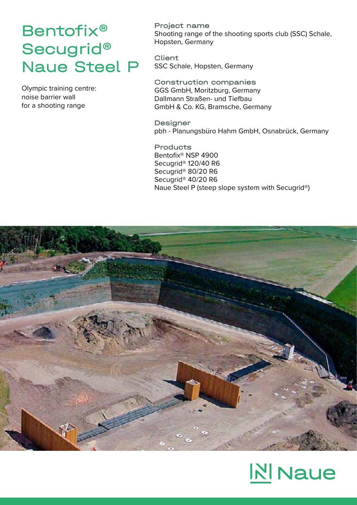## Bentofix® Secugrid® Naue Steel P

Olympic training centre: noise barrier wall for a shooting range

Project name Shooting range of the shooting sports club (SSC) Schale, Hopsten, Germany

Client SSC Schale, Hopsten, Germany

Construction companies GGS GmbH, Moritzburg, Germany Dallmann Straßen- und Tiefbau GmbH & Co. KG, Bramsche, Germany

Designer pbh - Planungsbüro Hahm GmbH, Osnabrück, Germany

Products Bentofix® NSP 4900 Secugrid® 120/40 R6 Secugrid® 80/20 R6 Secugrid® 40/20 R6 Naue Steel P (steep slope system with Secugrid®)



# **INI Naue**